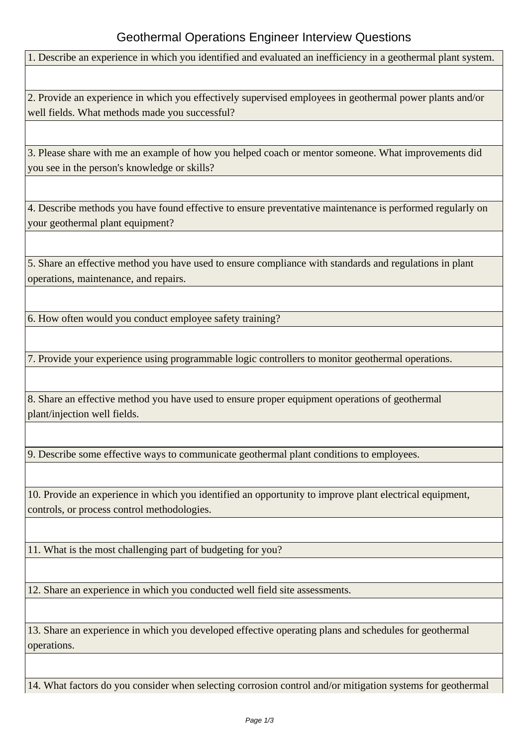## Geothermal Operations Engineer Interview Questions

1. Describe an experience in which you identified and evaluated an inefficiency in a geothermal plant system.

2. Provide an experience in which you effectively supervised employees in geothermal power plants and/or well fields. What methods made you successful?

3. Please share with me an example of how you helped coach or mentor someone. What improvements did you see in the person's knowledge or skills?

4. Describe methods you have found effective to ensure preventative maintenance is performed regularly on your geothermal plant equipment?

5. Share an effective method you have used to ensure compliance with standards and regulations in plant operations, maintenance, and repairs.

6. How often would you conduct employee safety training?

7. Provide your experience using programmable logic controllers to monitor geothermal operations.

8. Share an effective method you have used to ensure proper equipment operations of geothermal plant/injection well fields.

9. Describe some effective ways to communicate geothermal plant conditions to employees.

10. Provide an experience in which you identified an opportunity to improve plant electrical equipment, controls, or process control methodologies.

11. What is the most challenging part of budgeting for you?

12. Share an experience in which you conducted well field site assessments.

13. Share an experience in which you developed effective operating plans and schedules for geothermal operations.

14. What factors do you consider when selecting corrosion control and/or mitigation systems for geothermal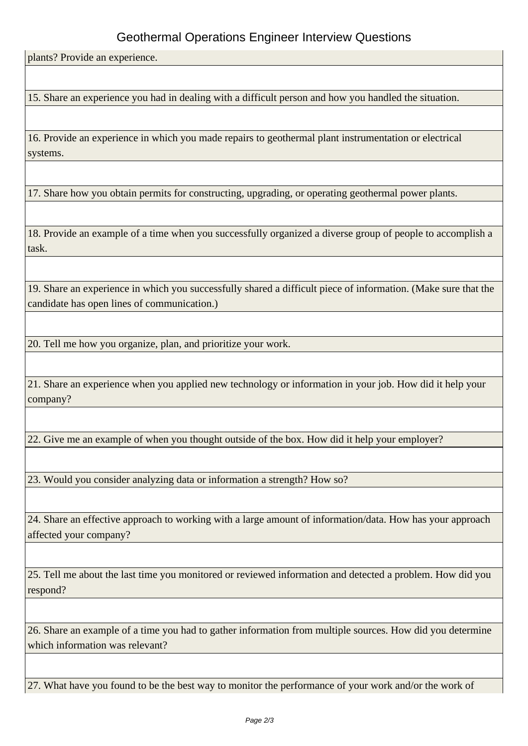## Geothermal Operations Engineer Interview Questions

plants? Provide an experience.

15. Share an experience you had in dealing with a difficult person and how you handled the situation.

16. Provide an experience in which you made repairs to geothermal plant instrumentation or electrical systems.

17. Share how you obtain permits for constructing, upgrading, or operating geothermal power plants.

18. Provide an example of a time when you successfully organized a diverse group of people to accomplish a task.

19. Share an experience in which you successfully shared a difficult piece of information. (Make sure that the candidate has open lines of communication.)

20. Tell me how you organize, plan, and prioritize your work.

21. Share an experience when you applied new technology or information in your job. How did it help your company?

22. Give me an example of when you thought outside of the box. How did it help your employer?

23. Would you consider analyzing data or information a strength? How so?

24. Share an effective approach to working with a large amount of information/data. How has your approach affected your company?

25. Tell me about the last time you monitored or reviewed information and detected a problem. How did you respond?

26. Share an example of a time you had to gather information from multiple sources. How did you determine which information was relevant?

27. What have you found to be the best way to monitor the performance of your work and/or the work of